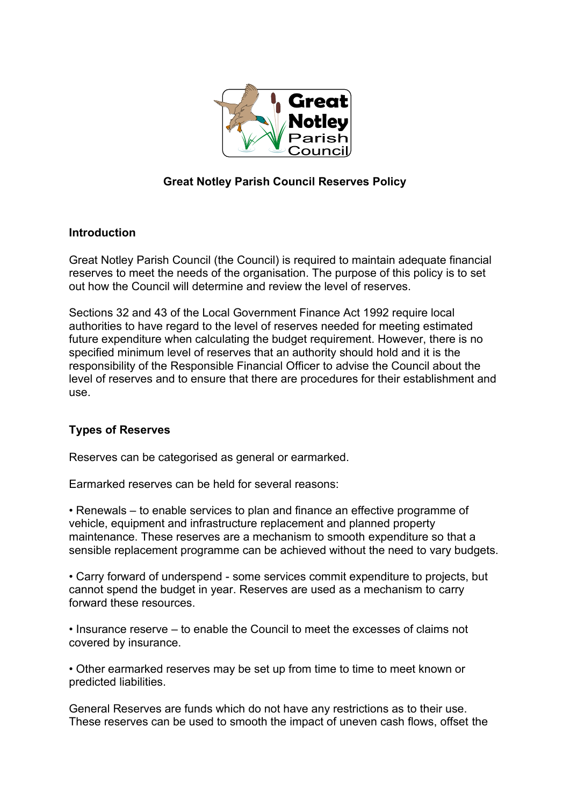

# **Great Notley Parish Council Reserves Policy**

### **Introduction**

Great Notley Parish Council (the Council) is required to maintain adequate financial reserves to meet the needs of the organisation. The purpose of this policy is to set out how the Council will determine and review the level of reserves.

Sections 32 and 43 of the Local Government Finance Act 1992 require local authorities to have regard to the level of reserves needed for meeting estimated future expenditure when calculating the budget requirement. However, there is no specified minimum level of reserves that an authority should hold and it is the responsibility of the Responsible Financial Officer to advise the Council about the level of reserves and to ensure that there are procedures for their establishment and use.

# **Types of Reserves**

Reserves can be categorised as general or earmarked.

Earmarked reserves can be held for several reasons:

• Renewals – to enable services to plan and finance an effective programme of vehicle, equipment and infrastructure replacement and planned property maintenance. These reserves are a mechanism to smooth expenditure so that a sensible replacement programme can be achieved without the need to vary budgets.

• Carry forward of underspend - some services commit expenditure to projects, but cannot spend the budget in year. Reserves are used as a mechanism to carry forward these resources.

• Insurance reserve – to enable the Council to meet the excesses of claims not covered by insurance.

• Other earmarked reserves may be set up from time to time to meet known or predicted liabilities.

General Reserves are funds which do not have any restrictions as to their use. These reserves can be used to smooth the impact of uneven cash flows, offset the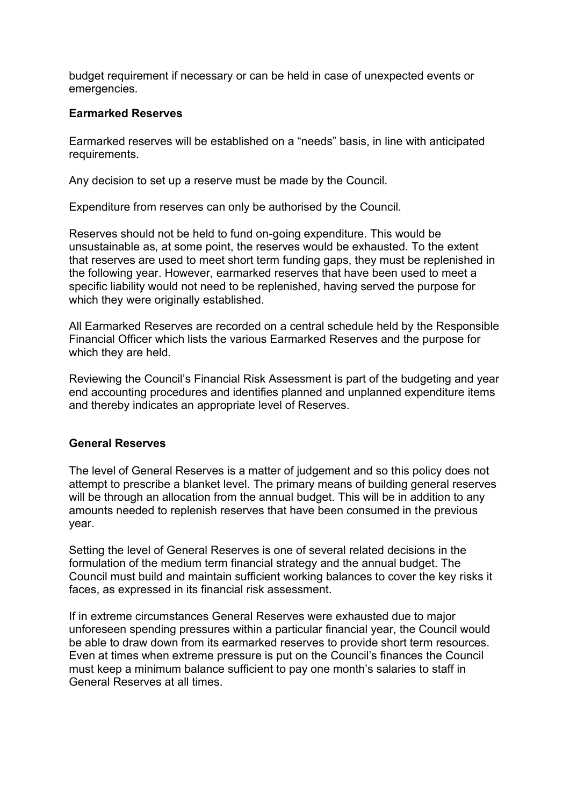budget requirement if necessary or can be held in case of unexpected events or emergencies.

#### **Earmarked Reserves**

Earmarked reserves will be established on a "needs" basis, in line with anticipated requirements.

Any decision to set up a reserve must be made by the Council.

Expenditure from reserves can only be authorised by the Council.

Reserves should not be held to fund on-going expenditure. This would be unsustainable as, at some point, the reserves would be exhausted. To the extent that reserves are used to meet short term funding gaps, they must be replenished in the following year. However, earmarked reserves that have been used to meet a specific liability would not need to be replenished, having served the purpose for which they were originally established.

All Earmarked Reserves are recorded on a central schedule held by the Responsible Financial Officer which lists the various Earmarked Reserves and the purpose for which they are held.

Reviewing the Council's Financial Risk Assessment is part of the budgeting and year end accounting procedures and identifies planned and unplanned expenditure items and thereby indicates an appropriate level of Reserves.

#### **General Reserves**

The level of General Reserves is a matter of judgement and so this policy does not attempt to prescribe a blanket level. The primary means of building general reserves will be through an allocation from the annual budget. This will be in addition to any amounts needed to replenish reserves that have been consumed in the previous year.

Setting the level of General Reserves is one of several related decisions in the formulation of the medium term financial strategy and the annual budget. The Council must build and maintain sufficient working balances to cover the key risks it faces, as expressed in its financial risk assessment.

If in extreme circumstances General Reserves were exhausted due to major unforeseen spending pressures within a particular financial year, the Council would be able to draw down from its earmarked reserves to provide short term resources. Even at times when extreme pressure is put on the Council's finances the Council must keep a minimum balance sufficient to pay one month's salaries to staff in General Reserves at all times.